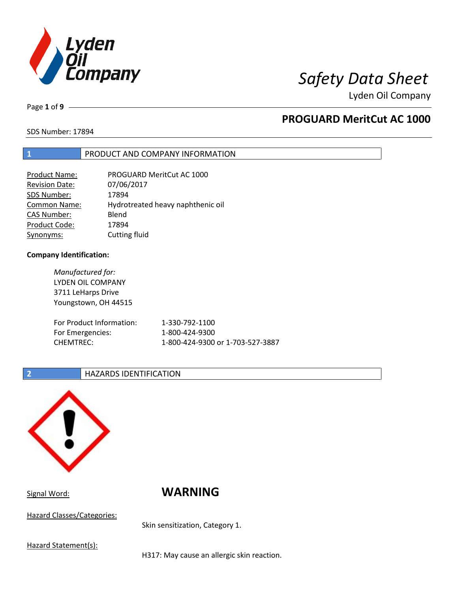

Page **1** of **9**

# **PROGUARD MeritCut AC 1000**

SDS Number: 17894

### **1** PRODUCT AND COMPANY INFORMATION

| <b>Product Name:</b>  | PROGUARD MeritCut AC 1000         |
|-----------------------|-----------------------------------|
| <b>Revision Date:</b> | 07/06/2017                        |
| SDS Number:           | 17894                             |
| <b>Common Name:</b>   | Hydrotreated heavy naphthenic oil |
| <b>CAS Number:</b>    | Blend                             |
| Product Code:         | 17894                             |
| Synonyms:             | Cutting fluid                     |

### **Company Identification:**

| Manufactured for:        |                                  |
|--------------------------|----------------------------------|
| <b>LYDEN OIL COMPANY</b> |                                  |
| 3711 LeHarps Drive       |                                  |
| Youngstown, OH 44515     |                                  |
|                          |                                  |
| For Product Information: | 1-330-792-1100                   |
| For Emergencies:         | 1-800-424-9300                   |
| <b>CHEMTREC:</b>         | 1-800-424-9300 or 1-703-527-3887 |
|                          |                                  |

### **2 HAZARDS IDENTIFICATION**



Hazard Classes/Categories:

Signal Word: **WARNING**

Skin sensitization, Category 1.

Hazard Statement(s):

H317: May cause an allergic skin reaction.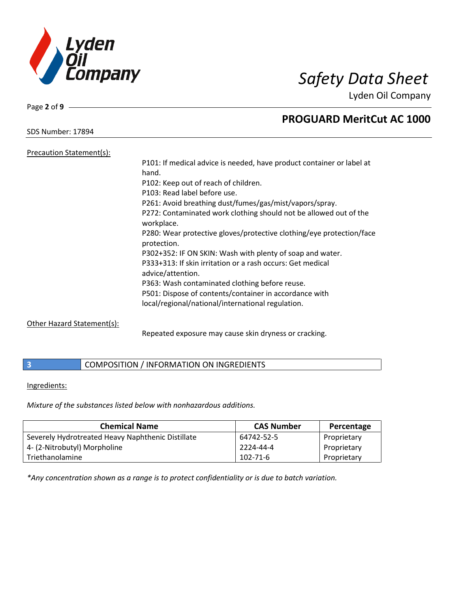

Page **2** of **9**

SDS Number: 17894

# **PROGUARD MeritCut AC 1000**

Precaution Statement(s):

| P101: If medical advice is needed, have product container or label at               |
|-------------------------------------------------------------------------------------|
| hand.                                                                               |
| P102: Keep out of reach of children.                                                |
| P103: Read label before use.                                                        |
| P261: Avoid breathing dust/fumes/gas/mist/vapors/spray.                             |
| P272: Contaminated work clothing should not be allowed out of the<br>workplace.     |
| P280: Wear protective gloves/protective clothing/eye protection/face<br>protection. |
| P302+352: IF ON SKIN: Wash with plenty of soap and water.                           |
| P333+313: If skin irritation or a rash occurs: Get medical<br>advice/attention.     |
| P363: Wash contaminated clothing before reuse.                                      |
| P501: Dispose of contents/container in accordance with                              |
| local/regional/national/international regulation.                                   |
|                                                                                     |

## Other Hazard Statement(s):

Repeated exposure may cause skin dryness or cracking.

**3 COMPOSITION** / INFORMATION ON INGREDIENTS

### Ingredients:

*Mixture of the substances listed below with nonhazardous additions.*

| <b>Chemical Name</b>                              | <b>CAS Number</b> | Percentage  |
|---------------------------------------------------|-------------------|-------------|
| Severely Hydrotreated Heavy Naphthenic Distillate | 64742-52-5        | Proprietary |
| 4- (2-Nitrobutyl) Morpholine                      | 2224-44-4         | Proprietary |
| Triethanolamine                                   | 102-71-6          | Proprietary |

*\*Any concentration shown as a range is to protect confidentiality or is due to batch variation.*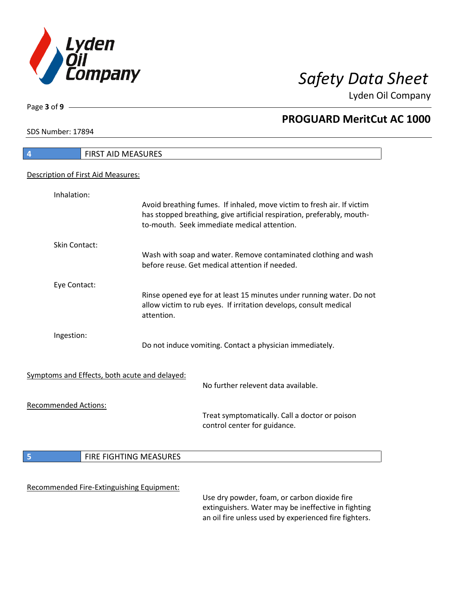

**PROGUARD MeritCut AC 1000**

Lyden Oil Company

SDS Number: 17894

Page **3** of **9**

| $\overline{a}$<br>FIRST AID MEASURES          |                        |                                                                                                                                                                                                 |
|-----------------------------------------------|------------------------|-------------------------------------------------------------------------------------------------------------------------------------------------------------------------------------------------|
| Description of First Aid Measures:            |                        |                                                                                                                                                                                                 |
| Inhalation:                                   |                        |                                                                                                                                                                                                 |
|                                               |                        | Avoid breathing fumes. If inhaled, move victim to fresh air. If victim<br>has stopped breathing, give artificial respiration, preferably, mouth-<br>to-mouth. Seek immediate medical attention. |
| Skin Contact:                                 |                        | Wash with soap and water. Remove contaminated clothing and wash<br>before reuse. Get medical attention if needed.                                                                               |
| Eye Contact:                                  |                        |                                                                                                                                                                                                 |
|                                               | attention.             | Rinse opened eye for at least 15 minutes under running water. Do not<br>allow victim to rub eyes. If irritation develops, consult medical                                                       |
| Ingestion:                                    |                        | Do not induce vomiting. Contact a physician immediately.                                                                                                                                        |
| Symptoms and Effects, both acute and delayed: |                        |                                                                                                                                                                                                 |
|                                               |                        | No further relevent data available.                                                                                                                                                             |
| <b>Recommended Actions:</b>                   |                        |                                                                                                                                                                                                 |
|                                               |                        | Treat symptomatically. Call a doctor or poison<br>control center for guidance.                                                                                                                  |
| 5                                             | FIRE FIGHTING MEASURES |                                                                                                                                                                                                 |
|                                               |                        |                                                                                                                                                                                                 |
| Recommended Fire-Extinguishing Equipment:     |                        |                                                                                                                                                                                                 |
|                                               |                        | Use dry powder, foam, or carbon dioxide fire<br>extinguishers. Water may be ineffective in fighting                                                                                             |

extinguishers. Water may be ineffective in fighting an oil fire unless used by experienced fire fighters.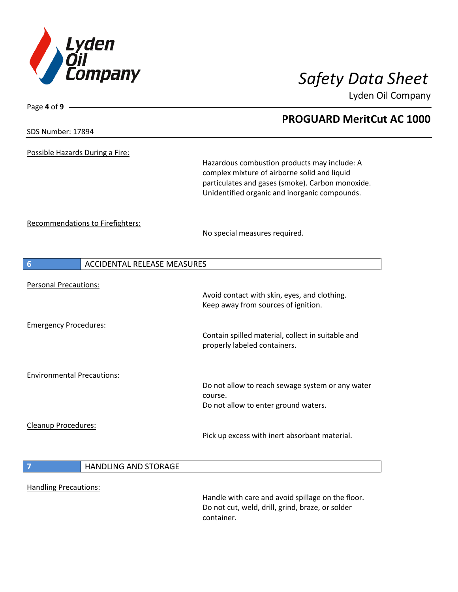

**PROGUARD MeritCut AC 1000**

Lyden Oil Company

SDS Number: 17894

Page **4** of **9**

Possible Hazards During a Fire:

Hazardous combustion products may include: A complex mixture of airborne solid and liquid particulates and gases (smoke). Carbon monoxide. Unidentified organic and inorganic compounds.

Recommendations to Firefighters:

No special measures required.

| 6<br><b>ACCIDENTAL RELEASE MEASURES</b> |                             |                                                                                                                     |
|-----------------------------------------|-----------------------------|---------------------------------------------------------------------------------------------------------------------|
| <b>Personal Precautions:</b>            |                             | Avoid contact with skin, eyes, and clothing.                                                                        |
|                                         |                             | Keep away from sources of ignition.                                                                                 |
| <b>Emergency Procedures:</b>            |                             |                                                                                                                     |
|                                         |                             | Contain spilled material, collect in suitable and<br>properly labeled containers.                                   |
| <b>Environmental Precautions:</b>       |                             |                                                                                                                     |
|                                         |                             | Do not allow to reach sewage system or any water<br>course.                                                         |
|                                         |                             | Do not allow to enter ground waters.                                                                                |
| Cleanup Procedures:                     |                             |                                                                                                                     |
|                                         |                             | Pick up excess with inert absorbant material.                                                                       |
|                                         |                             |                                                                                                                     |
| $\overline{7}$                          | <b>HANDLING AND STORAGE</b> |                                                                                                                     |
| <b>Handling Precautions:</b>            |                             |                                                                                                                     |
|                                         |                             | Handle with care and avoid spillage on the floor.<br>Do not cut, weld, drill, grind, braze, or solder<br>container. |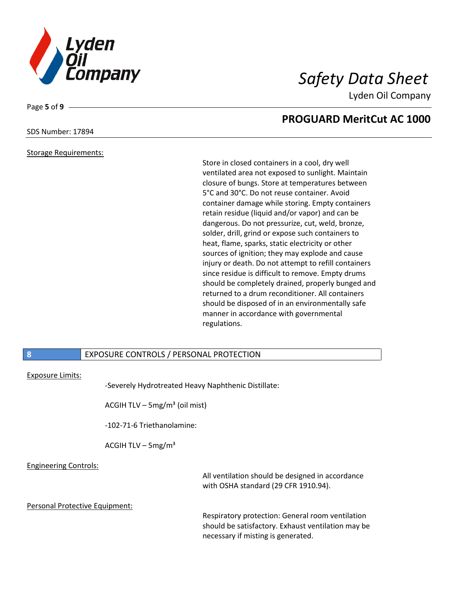

# **PROGUARD MeritCut AC 1000**

# SDS Number: 17894

Page **5** of **9**

### Storage Requirements:

Store in closed containers in a cool, dry well ventilated area not exposed to sunlight. Maintain closure of bungs. Store at temperatures between 5°C and 30°C. Do not reuse container. Avoid container damage while storing. Empty containers retain residue (liquid and/or vapor) and can be dangerous. Do not pressurize, cut, weld, bronze, solder, drill, grind or expose such containers to heat, flame, sparks, static electricity or other sources of ignition; they may explode and cause injury or death. Do not attempt to refill containers since residue is difficult to remove. Empty drums should be completely drained, properly bunged and returned to a drum reconditioner. All containers should be disposed of in an environmentally safe manner in accordance with governmental regulations.

necessary if misting is generated.

## **8** EXPOSURE CONTROLS / PERSONAL PROTECTION

### Exposure Limits:

|                                |                                             | -Severely Hydrotreated Heavy Naphthenic Distillate:                                                    |
|--------------------------------|---------------------------------------------|--------------------------------------------------------------------------------------------------------|
|                                | ACGIH TLV $-$ 5mg/m <sup>3</sup> (oil mist) |                                                                                                        |
|                                | -102-71-6 Triethanolamine:                  |                                                                                                        |
|                                | ACGIH TLV $-$ 5mg/m <sup>3</sup>            |                                                                                                        |
| <b>Engineering Controls:</b>   |                                             | All ventilation should be designed in accordance<br>with OSHA standard (29 CFR 1910.94).               |
| Personal Protective Equipment: |                                             | Respiratory protection: General room ventilation<br>should be satisfactory. Exhaust ventilation may be |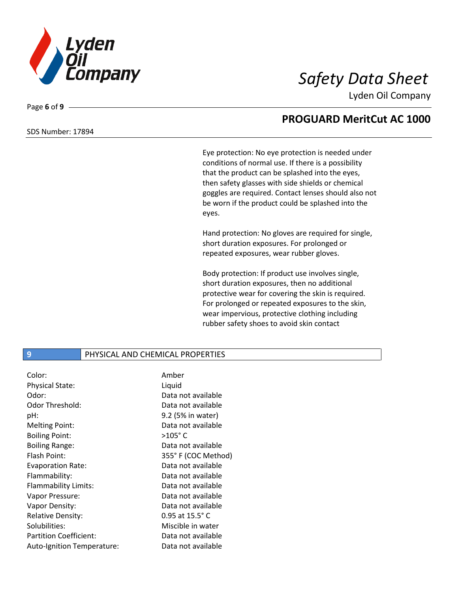

### SDS Number: 17894

Page **6** of **9**

# **PROGUARD MeritCut AC 1000**

Eye protection: No eye protection is needed under conditions of normal use. If there is a possibility that the product can be splashed into the eyes, then safety glasses with side shields or chemical goggles are required. Contact lenses should also not be worn if the product could be splashed into the eyes.

Hand protection: No gloves are required for single, short duration exposures. For prolonged or repeated exposures, wear rubber gloves.

Body protection: If product use involves single, short duration exposures, then no additional protective wear for covering the skin is required. For prolonged or repeated exposures to the skin, wear impervious, protective clothing including rubber safety shoes to avoid skin contact

# **9** PHYSICAL AND CHEMICAL PROPERTIES

| Color:                        | Amber                    |
|-------------------------------|--------------------------|
| Physical State:               | Liquid                   |
| Odor:                         | Data not available       |
| Odor Threshold:               | Data not available       |
| pH:                           | 9.2 (5% in water)        |
| <b>Melting Point:</b>         | Data not available       |
| <b>Boiling Point:</b>         | $>105^\circ$ C           |
| <b>Boiling Range:</b>         | Data not available       |
| Flash Point:                  | 355°F (COC Method)       |
| <b>Evaporation Rate:</b>      | Data not available       |
| Flammability:                 | Data not available       |
| Flammability Limits:          | Data not available       |
| Vapor Pressure:               | Data not available       |
| Vapor Density:                | Data not available       |
| <b>Relative Density:</b>      | 0.95 at $15.5^{\circ}$ C |
| Solubilities:                 | Miscible in water        |
| <b>Partition Coefficient:</b> | Data not available       |
| Auto-Ignition Temperature:    | Data not available       |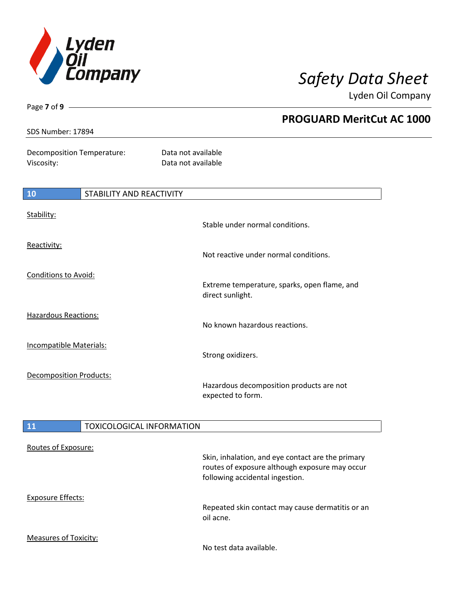

Page **7** of **9**

Lyden Oil Company

| SDS Number: 17894                        | <b>PROGUARD MeritCut AC 1000</b>                                 |
|------------------------------------------|------------------------------------------------------------------|
| Decomposition Temperature:<br>Viscosity: | Data not available<br>Data not available                         |
| <b>10</b><br>STABILITY AND REACTIVITY    |                                                                  |
| Stability:                               | Stable under normal conditions.                                  |
| Reactivity:                              | Not reactive under normal conditions.                            |
| Conditions to Avoid:                     | Extreme temperature, sparks, open flame, and<br>direct sunlight. |
| Hazardous Reactions:                     | No known hazardous reactions.                                    |
| Incompatible Materials:                  | Strong oxidizers.                                                |
| <b>Decomposition Products:</b>           | Hazardous decomposition products are not<br>expected to form.    |
| <b>11</b>                                | <b>TOXICOLOGICAL INFORMATION</b>                                 |
| Routes of Exposure:                      |                                                                  |

|                              | Skin, inhalation, and eye contact are the primary<br>routes of exposure although exposure may occur<br>following accidental ingestion. |
|------------------------------|----------------------------------------------------------------------------------------------------------------------------------------|
| <b>Exposure Effects:</b>     | Repeated skin contact may cause dermatitis or an                                                                                       |
|                              | oil acne.                                                                                                                              |
| <b>Measures of Toxicity:</b> | No test data available.                                                                                                                |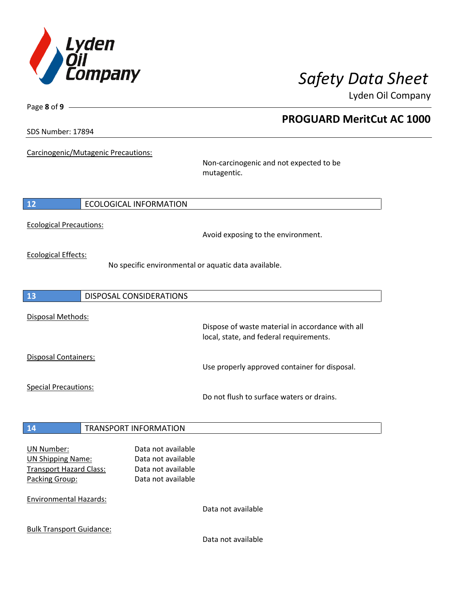

**PROGUARD MeritCut AC 1000**

Lyden Oil Company

SDS Number: 17894

Page **8** of **9**

Carcinogenic/Mutagenic Precautions:

Non-carcinogenic and not expected to be mutagentic.

**12** ECOLOGICAL INFORMATION

Ecological Precautions:

Avoid exposing to the environment.

Ecological Effects:

No specific environmental or aquatic data available.

**13** DISPOSAL CONSIDERATIONS Disposal Methods: Dispose of waste material in accordance with all local, state, and federal requirements. Disposal Containers: Use properly approved container for disposal. Special Precautions: Do not flush to surface waters or drains. **14** TRANSPORT INFORMATION UN Number: Data not available UN Shipping Name: Data not available Transport Hazard Class: Data not available Packing Group: Data not available

Environmental Hazards:

Data not available

Bulk Transport Guidance:

Data not available